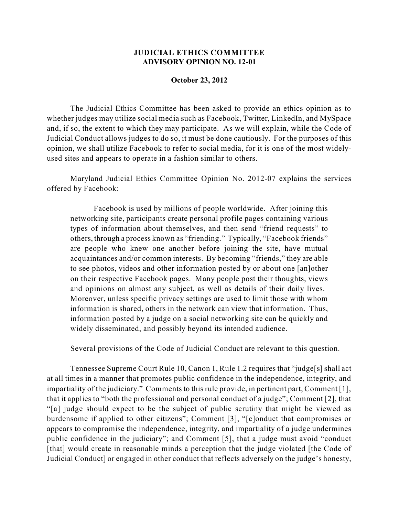## **JUDICIAL ETHICS COMMITTEE ADVISORY OPINION NO. 12-01**

## **October 23, 2012**

The Judicial Ethics Committee has been asked to provide an ethics opinion as to whether judges may utilize social media such as Facebook, Twitter, LinkedIn, and MySpace and, if so, the extent to which they may participate. As we will explain, while the Code of Judicial Conduct allows judges to do so, it must be done cautiously. For the purposes of this opinion, we shall utilize Facebook to refer to social media, for it is one of the most widelyused sites and appears to operate in a fashion similar to others.

Maryland Judicial Ethics Committee Opinion No. 2012-07 explains the services offered by Facebook:

Facebook is used by millions of people worldwide. After joining this networking site, participants create personal profile pages containing various types of information about themselves, and then send "friend requests" to others, through a process known as "friending." Typically, "Facebook friends" are people who knew one another before joining the site, have mutual acquaintances and/or common interests. By becoming "friends," they are able to see photos, videos and other information posted by or about one [an]other on their respective Facebook pages. Many people post their thoughts, views and opinions on almost any subject, as well as details of their daily lives. Moreover, unless specific privacy settings are used to limit those with whom information is shared, others in the network can view that information. Thus, information posted by a judge on a social networking site can be quickly and widely disseminated, and possibly beyond its intended audience.

Several provisions of the Code of Judicial Conduct are relevant to this question.

Tennessee Supreme Court Rule 10, Canon 1, Rule 1.2 requires that "judge[s] shall act at all times in a manner that promotes public confidence in the independence, integrity, and impartiality of the judiciary." Comments to this rule provide, in pertinent part, Comment [1], that it applies to "both the professional and personal conduct of a judge"; Comment [2], that "[a] judge should expect to be the subject of public scrutiny that might be viewed as burdensome if applied to other citizens"; Comment [3], "[c]onduct that compromises or appears to compromise the independence, integrity, and impartiality of a judge undermines public confidence in the judiciary"; and Comment [5], that a judge must avoid "conduct [that] would create in reasonable minds a perception that the judge violated [the Code of Judicial Conduct] or engaged in other conduct that reflects adversely on the judge's honesty,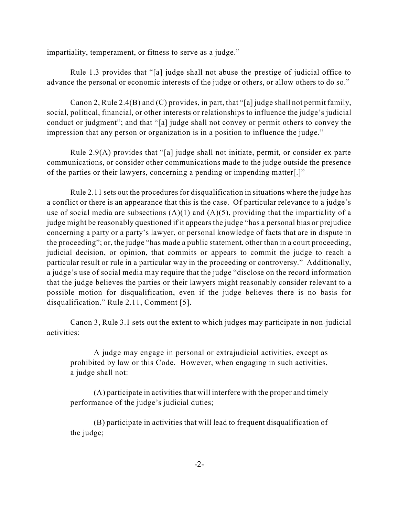impartiality, temperament, or fitness to serve as a judge."

Rule 1.3 provides that "[a] judge shall not abuse the prestige of judicial office to advance the personal or economic interests of the judge or others, or allow others to do so."

Canon 2, Rule 2.4(B) and (C) provides, in part, that "[a] judge shall not permit family, social, political, financial, or other interests or relationships to influence the judge's judicial conduct or judgment"; and that "[a] judge shall not convey or permit others to convey the impression that any person or organization is in a position to influence the judge."

Rule 2.9(A) provides that "[a] judge shall not initiate, permit, or consider ex parte communications, or consider other communications made to the judge outside the presence of the parties or their lawyers, concerning a pending or impending matter[.]"

Rule 2.11 sets out the procedures for disqualification in situations where the judge has a conflict or there is an appearance that this is the case. Of particular relevance to a judge's use of social media are subsections  $(A)(1)$  and  $(A)(5)$ , providing that the impartiality of a judge might be reasonably questioned if it appears the judge "has a personal bias or prejudice concerning a party or a party's lawyer, or personal knowledge of facts that are in dispute in the proceeding"; or, the judge "has made a public statement, other than in a court proceeding, judicial decision, or opinion, that commits or appears to commit the judge to reach a particular result or rule in a particular way in the proceeding or controversy." Additionally, a judge's use of social media may require that the judge "disclose on the record information that the judge believes the parties or their lawyers might reasonably consider relevant to a possible motion for disqualification, even if the judge believes there is no basis for disqualification." Rule 2.11, Comment [5].

Canon 3, Rule 3.1 sets out the extent to which judges may participate in non-judicial activities:

A judge may engage in personal or extrajudicial activities, except as prohibited by law or this Code. However, when engaging in such activities, a judge shall not:

(A) participate in activities that will interfere with the proper and timely performance of the judge's judicial duties;

(B) participate in activities that will lead to frequent disqualification of the judge;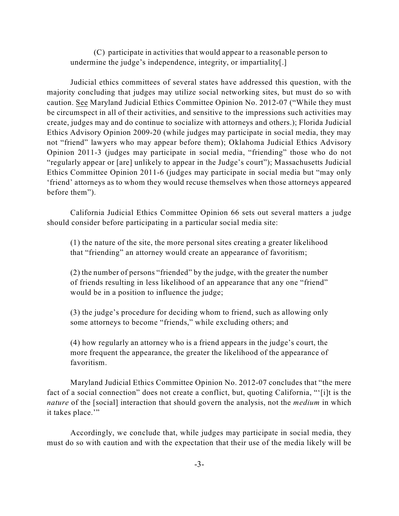(C) participate in activities that would appear to a reasonable person to undermine the judge's independence, integrity, or impartiality[.]

Judicial ethics committees of several states have addressed this question, with the majority concluding that judges may utilize social networking sites, but must do so with caution. See Maryland Judicial Ethics Committee Opinion No. 2012-07 ("While they must be circumspect in all of their activities, and sensitive to the impressions such activities may create, judges may and do continue to socialize with attorneys and others.); Florida Judicial Ethics Advisory Opinion 2009-20 (while judges may participate in social media, they may not "friend" lawyers who may appear before them); Oklahoma Judicial Ethics Advisory Opinion 2011-3 (judges may participate in social media, "friending" those who do not "regularly appear or [are] unlikely to appear in the Judge's court"); Massachusetts Judicial Ethics Committee Opinion 2011-6 (judges may participate in social media but "may only 'friend' attorneys as to whom they would recuse themselves when those attorneys appeared before them").

California Judicial Ethics Committee Opinion 66 sets out several matters a judge should consider before participating in a particular social media site:

(1) the nature of the site, the more personal sites creating a greater likelihood that "friending" an attorney would create an appearance of favoritism;

(2) the number of persons "friended" by the judge, with the greater the number of friends resulting in less likelihood of an appearance that any one "friend" would be in a position to influence the judge;

(3) the judge's procedure for deciding whom to friend, such as allowing only some attorneys to become "friends," while excluding others; and

(4) how regularly an attorney who is a friend appears in the judge's court, the more frequent the appearance, the greater the likelihood of the appearance of favoritism.

Maryland Judicial Ethics Committee Opinion No. 2012-07 concludes that "the mere fact of a social connection" does not create a conflict, but, quoting California, "'[i]t is the *nature* of the [social] interaction that should govern the analysis, not the *medium* in which it takes place."

Accordingly, we conclude that, while judges may participate in social media, they must do so with caution and with the expectation that their use of the media likely will be